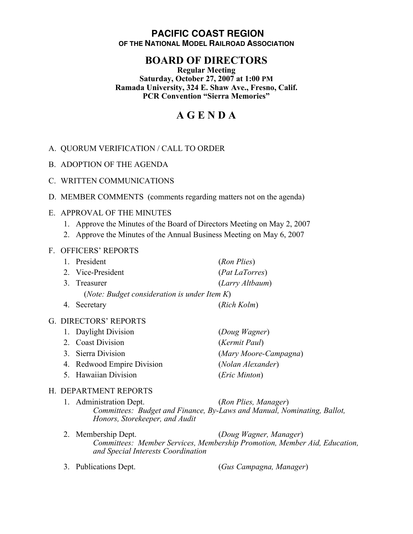# **PACIFIC COAST REGION OF THE NATIONAL MODEL RAILROAD ASSOCIATION**

# **BOARD OF DIRECTORS**

#### **Regular Meeting Saturday, October 27, 2007 at 1:00 PM Ramada University, 324 E. Shaw Ave., Fresno, Calif. PCR Convention "Sierra Memories"**

# **A G E N D A**

# A. QUORUM VERIFICATION / CALL TO ORDER

B. ADOPTION OF THE AGENDA

# C. WRITTEN COMMUNICATIONS

D. MEMBER COMMENTS (comments regarding matters not on the agenda)

# E. APPROVAL OF THE MINUTES

- 1. Approve the Minutes of the Board of Directors Meeting on May 2, 2007
- 2. Approve the Minutes of the Annual Business Meeting on May 6, 2007

#### F. OFFICERS' REPORTS

|                                                       | 1. President      | (Ron Plies)     |
|-------------------------------------------------------|-------------------|-----------------|
|                                                       | 2. Vice-President | (Pat LaTorres)  |
|                                                       | 3. Treasurer      | (Larry Altbaum) |
| ( <i>Note: Budget consideration is under Item K</i> ) |                   |                 |
|                                                       | 4. Secretary      | (Rich Kolm)     |

#### G. DIRECTORS' REPORTS

| (Mary Moore-Campagna) |
|-----------------------|
|                       |
|                       |
|                       |

#### H. DEPARTMENT REPORTS

- 1. Administration Dept. (*Ron Plies, Manager*) *Committees: Budget and Finance, By-Laws and Manual, Nominating, Ballot, Honors, Storekeeper, and Audit*
- 2. Membership Dept. (*Doug Wagner, Manager*) *Committees: Member Services, Membership Promotion, Member Aid, Education, and Special Interests Coordination*
- 

3. Publications Dept. (*Gus Campagna, Manager*)